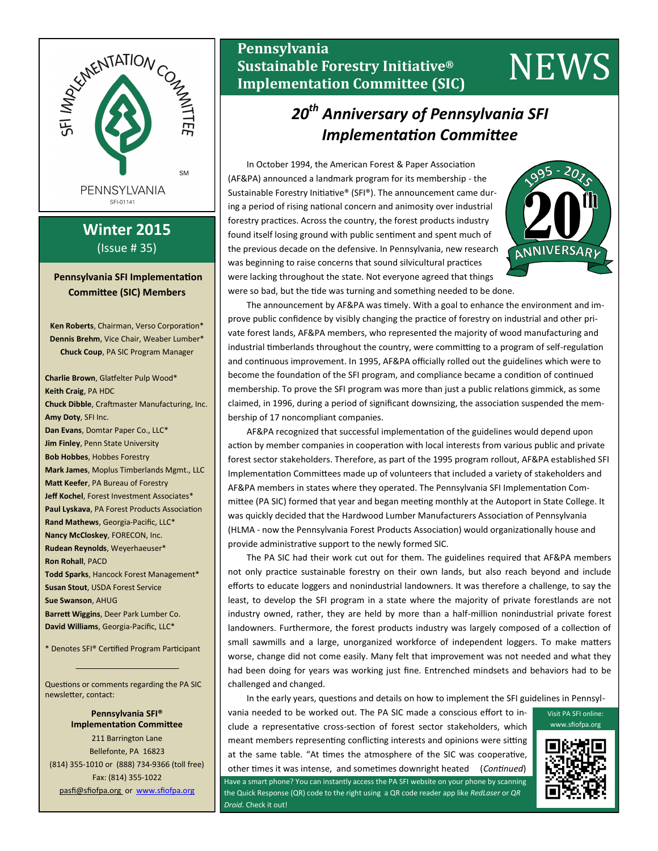

# **Winter 2015** (Issue # 35)

# **Pennsylvania SFI Implementation Committee (SIC) Members**

**Ken Roberts**, Chairman, Verso Corporation\* **Dennis Brehm**, Vice Chair, Weaber Lumber\* **Chuck Coup**, PA SIC Program Manager

**Charlie Brown**, Glatfelter Pulp Wood\* **Keith Craig**, PA HDC **Chuck Dibble**, Craftmaster Manufacturing, Inc. **Amy Doty**, SFI Inc. **Dan Evans**, Domtar Paper Co., LLC\* **Jim Finley**, Penn State University **Bob Hobbes**, Hobbes Forestry **Mark James**, Moplus Timberlands Mgmt., LLC **Matt Keefer**, PA Bureau of Forestry **Jeff Kochel**, Forest Investment Associates\* **Paul Lyskava**, PA Forest Products Association **Rand Mathews**, Georgia-Pacific, LLC\* **Nancy McCloskey**, FORECON, Inc. **Rudean Reynolds**, Weyerhaeuser\* **Ron Rohall**, PACD **Todd Sparks**, Hancock Forest Management\* **Susan Stout**, USDA Forest Service **Sue Swanson**, AHUG **Barrett Wiggins**, Deer Park Lumber Co. **David Williams**, Georgia-Pacific, LLC\*

\* Denotes SFI® Certified Program Participant

Questions or comments regarding the PA SIC newsletter, contact:

> **Pennsylvania SFI® Implementation Committee**

211 Barrington Lane Bellefonte, PA 16823 (814) 355-1010 or (888) 734-9366 (toll free) Fax: (814) 355-1022 pasfi@sfiofpa.org or [www.sfiofpa.org](http://www.sfiofpa.org)

# **Pennsylvania Sustainable Forestry Initiative® Implementation Committee (SIC)** NEWS

# *20th Anniversary of Pennsylvania SFI Implementation Committee*

In October 1994, the American Forest & Paper Association (AF&PA) announced a landmark program for its membership - the Sustainable Forestry Initiative® (SFI®). The announcement came during a period of rising national concern and animosity over industrial forestry practices. Across the country, the forest products industry found itself losing ground with public sentiment and spent much of the previous decade on the defensive. In Pennsylvania, new research was beginning to raise concerns that sound silvicultural practices were lacking throughout the state. Not everyone agreed that things were so bad, but the tide was turning and something needed to be done.



The announcement by AF&PA was timely. With a goal to enhance the environment and improve public confidence by visibly changing the practice of forestry on industrial and other private forest lands, AF&PA members, who represented the majority of wood manufacturing and industrial timberlands throughout the country, were committing to a program of self-regulation and continuous improvement. In 1995, AF&PA officially rolled out the guidelines which were to become the foundation of the SFI program, and compliance became a condition of continued membership. To prove the SFI program was more than just a public relations gimmick, as some claimed, in 1996, during a period of significant downsizing, the association suspended the membership of 17 noncompliant companies.

AF&PA recognized that successful implementation of the guidelines would depend upon action by member companies in cooperation with local interests from various public and private forest sector stakeholders. Therefore, as part of the 1995 program rollout, AF&PA established SFI Implementation Committees made up of volunteers that included a variety of stakeholders and AF&PA members in states where they operated. The Pennsylvania SFI Implementation Committee (PA SIC) formed that year and began meeting monthly at the Autoport in State College. It was quickly decided that the Hardwood Lumber Manufacturers Association of Pennsylvania (HLMA - now the Pennsylvania Forest Products Association) would organizationally house and provide administrative support to the newly formed SIC.

The PA SIC had their work cut out for them. The guidelines required that AF&PA members not only practice sustainable forestry on their own lands, but also reach beyond and include efforts to educate loggers and nonindustrial landowners. It was therefore a challenge, to say the least, to develop the SFI program in a state where the majority of private forestlands are not industry owned, rather, they are held by more than a half-million nonindustrial private forest landowners. Furthermore, the forest products industry was largely composed of a collection of small sawmills and a large, unorganized workforce of independent loggers. To make matters worse, change did not come easily. Many felt that improvement was not needed and what they had been doing for years was working just fine. Entrenched mindsets and behaviors had to be challenged and changed.

In the early years, questions and details on how to implement the SFI guidelines in Pennsyl-

vania needed to be worked out. The PA SIC made a conscious effort to include a representative cross-section of forest sector stakeholders, which meant members representing conflicting interests and opinions were sitting at the same table. "At times the atmosphere of the SIC was cooperative, other times it was intense, and sometimes downright heated (*Continued*) Have a smart phone? You can instantly access the PA SFI website on your phone by scanning the Quick Response (QR) code to the right using a QR code reader app like *RedLaser* or *QR Droid*. Check it out!



Visit PA SFI online: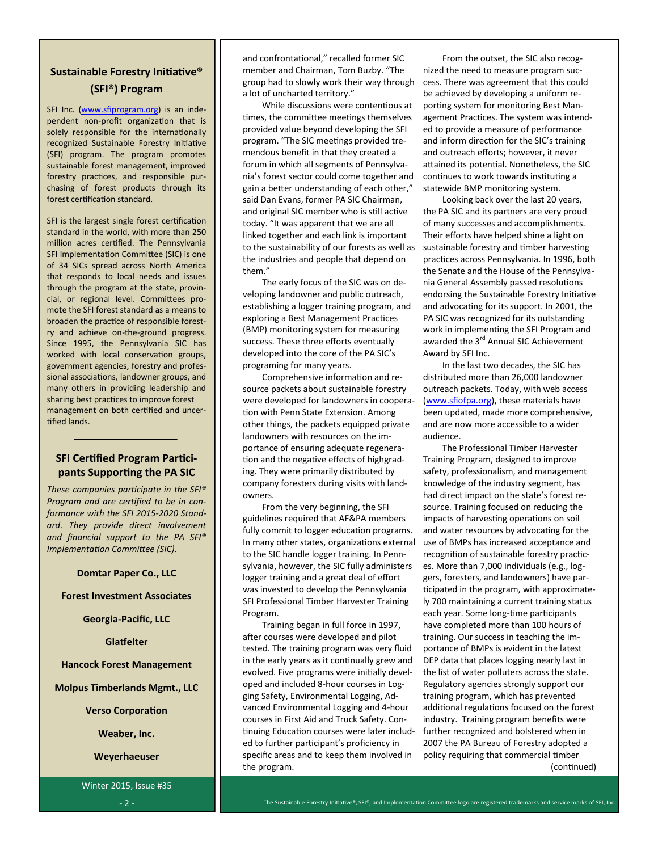# **Sustainable Forestry Initiative® (SFI®) Program**

SFI Inc. ([www.sfiprogram.org\)](http://www.sfiprogram.org/) is an independent non-profit organization that is solely responsible for the internationally recognized Sustainable Forestry Initiative (SFI) program. The program promotes sustainable forest management, improved forestry practices, and responsible purchasing of forest products through its forest certification standard.

SFI is the largest single forest certification standard in the world, with more than 250 million acres certified. The Pennsylvania SFI Implementation Committee (SIC) is one of 34 SICs spread across North America that responds to local needs and issues through the program at the state, provincial, or regional level. Committees promote the SFI forest standard as a means to broaden the practice of responsible forestry and achieve on-the-ground progress. Since 1995, the Pennsylvania SIC has worked with local conservation groups, government agencies, forestry and professional associations, landowner groups, and many others in providing leadership and sharing best practices to improve forest management on both certified and uncertified lands.

# **SFI Certified Program Participants Supporting the PA SIC**

*These companies participate in the SFI® Program and are certified to be in conformance with the SFI 2015-2020 Standard. They provide direct involvement and financial support to the PA SFI® Implementation Committee (SIC).*

#### **Domtar Paper Co., LLC**

**Forest Investment Associates**

**Georgia-Pacific, LLC**

**Glatfelter**

**Hancock Forest Management**

**Molpus Timberlands Mgmt., LLC**

**Verso Corporation**

**Weaber, Inc.**

**Weyerhaeuser**

Winter 2015, Issue #35 - 2 -

and confrontational," recalled former SIC member and Chairman, Tom Buzby. "The group had to slowly work their way through a lot of uncharted territory."

While discussions were contentious at times, the committee meetings themselves provided value beyond developing the SFI program. "The SIC meetings provided tremendous benefit in that they created a forum in which all segments of Pennsylvania's forest sector could come together and gain a better understanding of each other," said Dan Evans, former PA SIC Chairman, and original SIC member who is still active today. "It was apparent that we are all linked together and each link is important to the sustainability of our forests as well as the industries and people that depend on them."

The early focus of the SIC was on developing landowner and public outreach, establishing a logger training program, and exploring a Best Management Practices (BMP) monitoring system for measuring success. These three efforts eventually developed into the core of the PA SIC's programing for many years.

Comprehensive information and resource packets about sustainable forestry were developed for landowners in cooperation with Penn State Extension. Among other things, the packets equipped private landowners with resources on the importance of ensuring adequate regeneration and the negative effects of highgrading. They were primarily distributed by company foresters during visits with landowners.

From the very beginning, the SFI guidelines required that AF&PA members fully commit to logger education programs. In many other states, organizations external to the SIC handle logger training. In Pennsylvania, however, the SIC fully administers logger training and a great deal of effort was invested to develop the Pennsylvania SFI Professional Timber Harvester Training Program.

Training began in full force in 1997, after courses were developed and pilot tested. The training program was very fluid in the early years as it continually grew and evolved. Five programs were initially developed and included 8-hour courses in Logging Safety, Environmental Logging, Advanced Environmental Logging and 4-hour courses in First Aid and Truck Safety. Continuing Education courses were later included to further participant's proficiency in specific areas and to keep them involved in the program.

From the outset, the SIC also recognized the need to measure program success. There was agreement that this could be achieved by developing a uniform reporting system for monitoring Best Management Practices. The system was intended to provide a measure of performance and inform direction for the SIC's training and outreach efforts; however, it never attained its potential. Nonetheless, the SIC continues to work towards instituting a statewide BMP monitoring system.

Looking back over the last 20 years, the PA SIC and its partners are very proud of many successes and accomplishments. Their efforts have helped shine a light on sustainable forestry and timber harvesting practices across Pennsylvania. In 1996, both the Senate and the House of the Pennsylvania General Assembly passed resolutions endorsing the Sustainable Forestry Initiative and advocating for its support. In 2001, the PA SIC was recognized for its outstanding work in implementing the SFI Program and awarded the 3<sup>rd</sup> Annual SIC Achievement Award by SFI Inc.

In the last two decades, the SIC has distributed more than 26,000 landowner outreach packets. Today, with web access ([www.sfiofpa.org\)](http://www.sfiofpa.org), these materials have been updated, made more comprehensive, and are now more accessible to a wider audience.

The Professional Timber Harvester Training Program, designed to improve safety, professionalism, and management knowledge of the industry segment, has had direct impact on the state's forest resource. Training focused on reducing the impacts of harvesting operations on soil and water resources by advocating for the use of BMPs has increased acceptance and recognition of sustainable forestry practices. More than 7,000 individuals (e.g., loggers, foresters, and landowners) have participated in the program, with approximately 700 maintaining a current training status each year. Some long-time participants have completed more than 100 hours of training. Our success in teaching the importance of BMPs is evident in the latest DEP data that places logging nearly last in the list of water polluters across the state. Regulatory agencies strongly support our training program, which has prevented additional regulations focused on the forest industry. Training program benefits were further recognized and bolstered when in 2007 the PA Bureau of Forestry adopted a policy requiring that commercial timber (continued)

The Sustainable Forestry Initiative®, SFI®, and Implementation Committee logo are registered trademarks and service marks of SFI, Inc.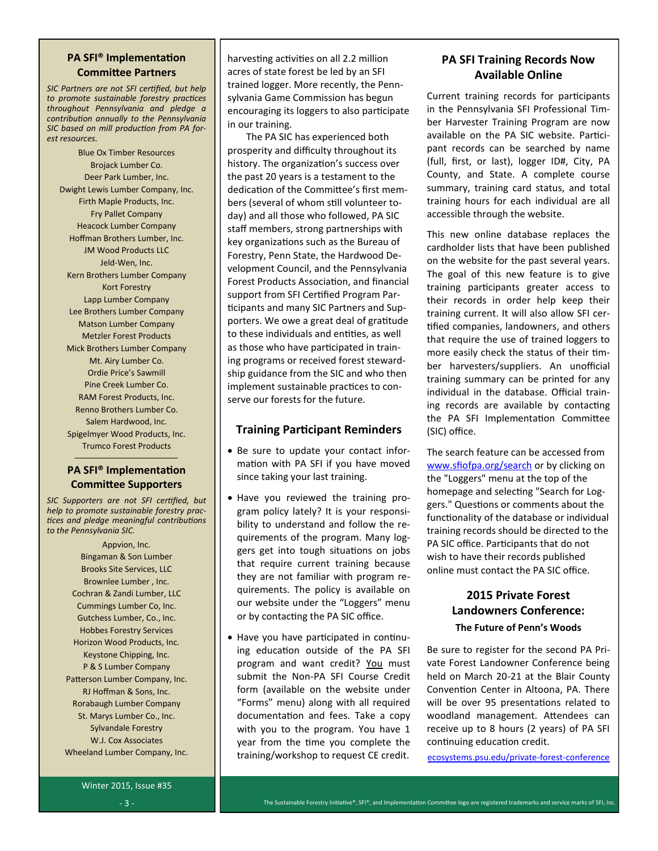### **PA SFI® Implementation Committee Partners**

*SIC Partners are not SFI certified, but help to promote sustainable forestry practices throughout Pennsylvania and pledge a contribution annually to the Pennsylvania SIC based on mill production from PA forest resources.*

Blue Ox Timber Resources Brojack Lumber Co. Deer Park Lumber, Inc. Dwight Lewis Lumber Company, Inc. Firth Maple Products, Inc. Fry Pallet Company Heacock Lumber Company Hoffman Brothers Lumber, Inc. JM Wood Products LLC Jeld-Wen, Inc. Kern Brothers Lumber Company Kort Forestry Lapp Lumber Company Lee Brothers Lumber Company Matson Lumber Company Metzler Forest Products Mick Brothers Lumber Company Mt. Airy Lumber Co. Ordie Price's Sawmill Pine Creek Lumber Co. RAM Forest Products, Inc. Renno Brothers Lumber Co. Salem Hardwood, Inc. Spigelmyer Wood Products, Inc. Trumco Forest Products

### **PA SFI® Implementation Committee Supporters**

*SIC Supporters are not SFI certified, but help to promote sustainable forestry practices and pledge meaningful contributions to the Pennsylvania SIC.*

> Appvion, Inc. Bingaman & Son Lumber Brooks Site Services, LLC Brownlee Lumber , Inc. Cochran & Zandi Lumber, LLC Cummings Lumber Co, Inc. Gutchess Lumber, Co., Inc. Hobbes Forestry Services Horizon Wood Products, Inc. Keystone Chipping, Inc. P & S Lumber Company Patterson Lumber Company, Inc. RJ Hoffman & Sons, Inc. Rorabaugh Lumber Company St. Marys Lumber Co., Inc. Sylvandale Forestry W.J. Cox Associates Wheeland Lumber Company, Inc.

harvesting activities on all 2.2 million acres of state forest be led by an SFI trained logger. More recently, the Pennsylvania Game Commission has begun encouraging its loggers to also participate in our training.

The PA SIC has experienced both prosperity and difficulty throughout its history. The organization's success over the past 20 years is a testament to the dedication of the Committee's first members (several of whom still volunteer today) and all those who followed, PA SIC staff members, strong partnerships with key organizations such as the Bureau of Forestry, Penn State, the Hardwood Development Council, and the Pennsylvania Forest Products Association, and financial support from SFI Certified Program Participants and many SIC Partners and Supporters. We owe a great deal of gratitude to these individuals and entities, as well as those who have participated in training programs or received forest stewardship guidance from the SIC and who then implement sustainable practices to conserve our forests for the future.

### **Training Participant Reminders**

- Be sure to update your contact information with PA SFI if you have moved since taking your last training.
- Have you reviewed the training program policy lately? It is your responsibility to understand and follow the requirements of the program. Many loggers get into tough situations on jobs that require current training because they are not familiar with program requirements. The policy is available on our website under the "Loggers" menu or by contacting the PA SIC office.
- Have you have participated in continuing education outside of the PA SFI program and want credit? You must submit the Non-PA SFI Course Credit form (available on the website under "Forms" menu) along with all required documentation and fees. Take a copy with you to the program. You have 1 year from the time you complete the training/workshop to request CE credit.

# **PA SFI Training Records Now Available Online**

Current training records for participants in the Pennsylvania SFI Professional Timber Harvester Training Program are now available on the PA SIC website. Participant records can be searched by name (full, first, or last), logger ID#, City, PA County, and State. A complete course summary, training card status, and total training hours for each individual are all accessible through the website.

This new online database replaces the cardholder lists that have been published on the website for the past several years. The goal of this new feature is to give training participants greater access to their records in order help keep their training current. It will also allow SFI certified companies, landowners, and others that require the use of trained loggers to more easily check the status of their timber harvesters/suppliers. An unofficial training summary can be printed for any individual in the database. Official training records are available by contacting the PA SFI Implementation Committee (SIC) office.

The search feature can be accessed from [www.sfiofpa.org/search o](http://www.sfiofpa.org/search)r by clicking on the "Loggers" menu at the top of the homepage and selecting "Search for Loggers." Questions or comments about the functionality of the database or individual training records should be directed to the PA SIC office. Participants that do not wish to have their records published online must contact the PA SIC office.

# **2015 Private Forest Landowners Conference: The Future of Penn's Woods**

Be sure to register for the second PA Private Forest Landowner Conference being held on March 20-21 at the Blair County Convention Center in Altoona, PA. There will be over 95 presentations related to woodland management. Attendees can receive up to 8 hours (2 years) of PA SFI continuing education credit.

[ecosystems.psu.edu/private](http://www.cvent.com/events/2015-private-forest-landowners-conference/event-summary-2e2dde3bec364098b93cbc99c333467c.aspx)-forest-conference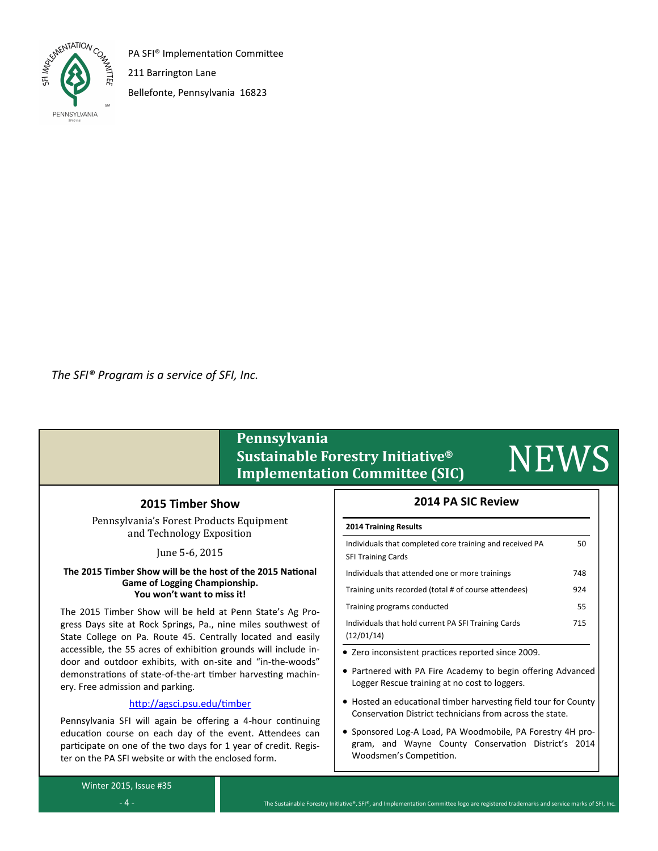

PA SFI® Implementation Committee

211 Barrington Lane

Bellefonte, Pennsylvania 16823

*The SFI® Program is a service of SFI, Inc.*

# **Pennsylvania Sustainable Forestry Initiative® Implementation Committee (SIC)** NEWS

### **2015 Timber Show**

Pennsylvania's Forest Products Equipment and Technology Exposition

June 5-6, 2015

#### **The 2015 Timber Show will be the host of the 2015 National Game of Logging Championship. You won't want to miss it!**

The 2015 Timber Show will be held at Penn State's Ag Progress Days site at Rock Springs, Pa., nine miles southwest of State College on Pa. Route 45. Centrally located and easily accessible, the 55 acres of exhibition grounds will include indoor and outdoor exhibits, with on-site and "in-the-woods" demonstrations of state-of-the-art timber harvesting machinery. Free admission and parking.

# <http://agsci.psu.edu/timber>

Pennsylvania SFI will again be offering a 4-hour continuing education course on each day of the event. Attendees can participate on one of the two days for 1 year of credit. Register on the PA SFI website or with the enclosed form.

# **2014 PA SIC Review**

### **2014 Training Results**

| Individuals that completed core training and received PA<br><b>SFI Training Cards</b> | 50  |  |
|---------------------------------------------------------------------------------------|-----|--|
| Individuals that attended one or more trainings                                       | 748 |  |
| Training units recorded (total # of course attendees)                                 | 924 |  |
| Training programs conducted                                                           | 55  |  |
| Individuals that hold current PA SFI Training Cards<br>(12/01/14)                     | 715 |  |

Zero inconsistent practices reported since 2009.

- Partnered with PA Fire Academy to begin offering Advanced Logger Rescue training at no cost to loggers.
- Hosted an educational timber harvesting field tour for County Conservation District technicians from across the state.
- Sponsored Log-A Load, PA Woodmobile, PA Forestry 4H program, and Wayne County Conservation District's 2014 Woodsmen's Competition.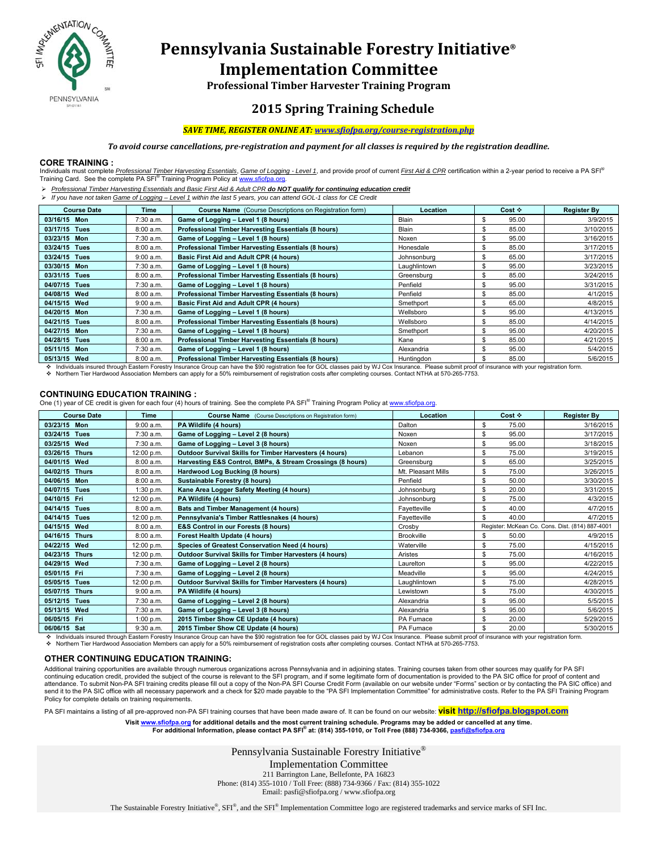

# **Pennsylvania Sustainable Forestry Initiative® Implementation Committee**

**Professional Timber Harvester Training Program**

# **2015 Spring Training Schedule**

#### *SAVE TIME, REGISTER ONLINE AT: www.sfiofpa.org/course‐registration.php*

To avoid course cancellations, pre-registration and payment for all classes is required by the registration deadline.

#### **CORE TRAINING :**

Individuals must complete Professional Timber Harvesting Essentials, Game of Logging - Level 1, and provide proof of current First Aid & CPR certification within a 2-year period to receive a PA SFI<sup>®</sup> Training Card. See the complete PA SFI<sup>®</sup> Training Program Policy at www.sfiofpa.org.

*Professional Timber Harvesting Essentials and Basic First Aid & Adult CPR do NOT qualify for continuing education credit*

*If you have not taken Game of Logging – Level 1 within the last 5 years, you can attend GOL-1 class for CE Credit* 

| <b>Course Date</b> | Time      | Course Name (Course Descriptions on Registration form)                                   | <b>Location</b> | Cost $\div$ | <b>Register By</b>   |
|--------------------|-----------|------------------------------------------------------------------------------------------|-----------------|-------------|----------------------|
| 03/16/15 Mon       | 7:30 a.m. | Game of Logging - Level 1 (8 hours)                                                      | Blain           | 95.00       | 3/9/2015             |
| 03/17/15 Tues      | 8:00 a.m. | Professional Timber Harvesting Essentials (8 hours)                                      | Blain           | 85.00       | 3/10/2015            |
| 03/23/15 Mon       | 7:30 a.m. | Game of Logging - Level 1 (8 hours)                                                      | Noxen           | 95.00       | 3/16/2015            |
| 03/24/15 Tues      | 8:00 a.m. | Professional Timber Harvesting Essentials (8 hours)                                      | Honesdale       | 85.00       | 3/17/2015            |
| 03/24/15 Tues      | 9:00 a.m. | Basic First Aid and Adult CPR (4 hours)                                                  | Johnsonburg     | 65.00       | 3/17/2015            |
| 03/30/15 Mon       | 7:30 a.m. | Game of Logging - Level 1 (8 hours)                                                      | Laughlintown    | 95.00       | 3/23/2015            |
| 03/31/15 Tues      | 8:00 a.m. | Professional Timber Harvesting Essentials (8 hours)                                      | Greensburg      | 85.00       | 3/24/2015            |
| 04/07/15 Tues      | 7:30 a.m. | Game of Logging - Level 1 (8 hours)                                                      | Penfield        | 95.00       | 3/31/2015            |
| 04/08/15 Wed       | 8:00 a.m. | Professional Timber Harvesting Essentials (8 hours)                                      | Penfield        | 85.00<br>S  | 4/1/2015             |
| 04/15/15 Wed       | 9:00 a.m. | Basic First Aid and Adult CPR (4 hours)                                                  | Smethport       | 65.00<br>ж  | 4/8/2015             |
| 04/20/15 Mon       | 7:30 a.m. | Game of Logging - Level 1 (8 hours)                                                      | Wellsboro       | 95.00       | 4/13/2015            |
| 04/21/15 Tues      | 8:00 a.m. | Professional Timber Harvesting Essentials (8 hours)                                      | Wellsboro       | 85.00       | 4/14/2015            |
| 04/27/15 Mon       | 7:30 a.m. | Game of Logging - Level 1 (8 hours)                                                      | Smethport       | 95.00       | 4/20/2015            |
| 04/28/15 Tues      | 8:00 a.m. | Professional Timber Harvesting Essentials (8 hours)                                      | Kane            | 85.00       | 4/21/2015            |
| 05/11/15 Mon       | 7:30 a.m. | Game of Logging - Level 1 (8 hours)                                                      | Alexandria      | 95.00       | 5/4/2015             |
| 05/13/15 Wed       | 8:00 a.m. | Professional Timber Harvesting Essentials (8 hours)<br>المتحدث المتارين الممتدان المنادي | Huntingdon      | 85.00       | 5/6/2015<br>$\cdots$ |

Individuals insured through Eastern Forestry Insurance Group can have the \$90 registration fee for GOL classes paid by WJ Cox Insurance. Please submit proof of insurance with your registration form

Northern Tier Hardwood Association Members can apply for a 50% reimbursement of registration costs after completing courses. Contact NTHA at 570-265-7753.

### **CONTINUING EDUCATION TRAINING :**

One (1) year of CE credit is given for each four (4) hours of training. See the complete PA SFI® Training Program Policy at www.sfiofpa.org.

| <b>Course Date</b>       | <b>Time</b><br><b>Course Name</b> (Course Descriptions on Registration form) |                                                                | Location           | Cost $\div$                                     | <b>Register By</b> |
|--------------------------|------------------------------------------------------------------------------|----------------------------------------------------------------|--------------------|-------------------------------------------------|--------------------|
| 03/23/15 Mon             | 9:00 a.m.                                                                    | PA Wildlife (4 hours)                                          | Dalton             | \$<br>75.00                                     | 3/16/2015          |
| <b>Tues</b><br>03/24/15  | 7:30 a.m.                                                                    | Game of Logging - Level 2 (8 hours)                            | Noxen              | \$<br>95.00                                     | 3/17/2015          |
| Wed<br>03/25/15          | 7:30 a.m.                                                                    | Game of Logging - Level 3 (8 hours)                            | Noxen              | S<br>95.00                                      | 3/18/2015          |
| <b>Thurs</b><br>03/26/15 | 12:00 p.m.                                                                   | <b>Outdoor Survival Skills for Timber Harvesters (4 hours)</b> | Lebanon            | \$<br>75.00                                     | 3/19/2015          |
| 04/01/15<br>Wed          | 8:00a.m.                                                                     | Harvesting E&S Control, BMPs, & Stream Crossings (8 hours)     | Greensburg         | 65.00<br>\$                                     | 3/25/2015          |
| 04/02/15<br><b>Thurs</b> | 8:00 a.m.                                                                    | Hardwood Log Bucking (8 hours)                                 | Mt. Pleasant Mills | 75.00<br>\$                                     | 3/26/2015          |
| Mon<br>04/06/15          | 8:00 a.m.                                                                    | Sustainable Forestry (8 hours)                                 | Penfield           | \$<br>50.00                                     | 3/30/2015          |
| 04/07/15<br><b>Tues</b>  | 1:30 p.m.                                                                    | Kane Area Logger Safety Meeting (4 hours)                      | Johnsonburg        | 20.00<br>\$                                     | 3/31/2015          |
| 04/10/15 Fri             | 12:00 p.m.                                                                   | PA Wildlife (4 hours)                                          | Johnsonburg        | \$<br>75.00                                     | 4/3/2015           |
| 04/14/15<br><b>Tues</b>  | 8:00a.m.                                                                     | <b>Bats and Timber Management (4 hours)</b>                    | Fayetteville       | 40.00<br>\$                                     | 4/7/2015           |
| 04/14/15<br><b>Tues</b>  | 12:00 p.m.                                                                   | Pennsylvania's Timber Rattlesnakes (4 hours)                   | Favetteville       | \$<br>40.00                                     | 4/7/2015           |
| 04/15/15 Wed             | 8:00a.m.                                                                     | <b>E&amp;S Control in our Forests (8 hours)</b>                | Crosby             | Register: McKean Co. Cons. Dist. (814) 887-4001 |                    |
| 04/16/15<br><b>Thurs</b> | 8:00a.m.                                                                     | Forest Health Update (4 hours)                                 | <b>Brookville</b>  | \$<br>50.00                                     | 4/9/2015           |
| Wed<br>04/22/15          | 12:00 p.m.                                                                   | Species of Greatest Conservation Need (4 hours)                | Waterville         | \$<br>75.00                                     | 4/15/2015          |
| 04/23/15<br><b>Thurs</b> | 12:00 p.m.                                                                   | <b>Outdoor Survival Skills for Timber Harvesters (4 hours)</b> | Aristes            | \$<br>75.00                                     | 4/16/2015          |
| 04/29/15<br>Wed          | 7:30 a.m.                                                                    | Game of Logging - Level 2 (8 hours)                            | Laurelton          | \$<br>95.00                                     | 4/22/2015          |
| 05/01/15 Fri             | 7:30 a.m.                                                                    | Game of Logging - Level 2 (8 hours)                            | Meadville          | 95.00<br>S                                      | 4/24/2015          |
| 05/05/15<br><b>Tues</b>  | 12:00 p.m.                                                                   | <b>Outdoor Survival Skills for Timber Harvesters (4 hours)</b> | Laughlintown       | 75.00<br>\$                                     | 4/28/2015          |
| <b>Thurs</b><br>05/07/15 | 9:00 a.m.                                                                    | PA Wildlife (4 hours)                                          | Lewistown          | \$<br>75.00                                     | 4/30/2015          |
| 05/12/15<br><b>Tues</b>  | 7:30 a.m.                                                                    | Game of Logging - Level 2 (8 hours)                            | Alexandria         | 95.00<br>\$                                     | 5/5/2015           |
| 05/13/15 Wed             | 7:30 a.m.                                                                    | Game of Logging - Level 3 (8 hours)                            | Alexandria         | 95.00<br>\$                                     | 5/6/2015           |
| 06/05/15 Fri             | 1:00 p.m.                                                                    | 2015 Timber Show CE Update (4 hours)                           | PA Furnace         | 20.00<br>\$                                     | 5/29/2015          |
| 06/06/15 Sat             | 9:30 a.m.                                                                    | 2015 Timber Show CE Update (4 hours)                           | PA Furnace         | 20.00<br>\$                                     | 5/30/2015          |

Individuals insured through Eastern Forestry Insurance Group can have the \$90 registration fee for GOL classes paid by WJ Cox Insurance. Please submit proof of insurance with your registration form.

Northern Tier Hardwood Association Members can apply for a 50% reimbursement of registration costs after completing courses. Contact NTHA at 570-265-7753.

#### **OTHER CONTINUING EDUCATION TRAINING:**

Additional training opportunities are available through numerous organizations across Pennsylvania and in adjoining states. Training courses taken from other sources may qualify for PA SFI continuing education credit, provided the subject of the course is relevant to the SFI program, and if some legitimate form of documentation is provided to the PA SIC office for proof of content and<br>attendance. To submit N send it to the PA SIC office with all necessary paperwork and a check for \$20 made payable to the "PA SFI Implementation Committee" for administrative costs. Refer to the PA SFI Training Program Policy for complete details on training requirements.

PA SFI maintains a listing of all pre-approved non-PA SFI training courses that have been made aware of. It can be found on our website: **visit http://sfiofpa.blogspot.com**

Visit <u>www.sfiofpa.org</u> for additional details and the most current training schedule. Programs may be added or cancelled at any time.<br>For additional Information, please contact PA SFI® at: (814) 355-1010, or Toll Free (88

Pennsylvania Sustainable Forestry Initiative®

Implementation Committee 211 Barrington Lane, Bellefonte, PA 16823 Phone: (814) 355-1010 / Toll Free: (888) 734-9366 / Fax: (814) 355-1022 Email: pasfi@sfiofpa.org / www.sfiofpa.org

The Sustainable Forestry Initiative®, SFI®, and the SFI® Implementation Committee logo are registered trademarks and service marks of SFI Inc.